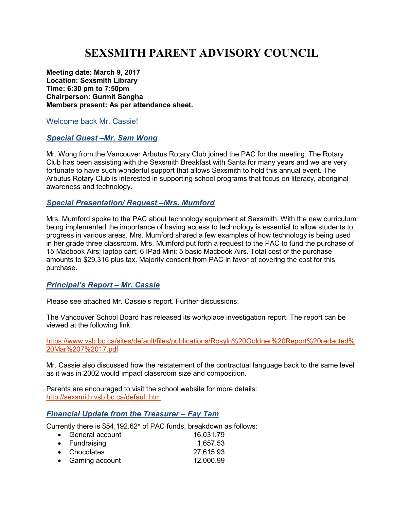# **SEXSMITH PARENT ADVISORY COUNCIL**

**Meeting date: March 9, 2017 Location: Sexsmith Library Time: 6:30 pm to 7:50pm Chairperson: Gurmit Sangha Members present: As per attendance sheet.** 

#### Welcome back Mr. Cassie!

#### *Special Guest –Mr. Sam Wong*

Mr. Wong from the Vancouver Arbutus Rotary Club joined the PAC for the meeting. The Rotary Club has been assisting with the Sexsmith Breakfast with Santa for many years and we are very fortunate to have such wonderful support that allows Sexsmith to hold this annual event. The Arbutus Rotary Club is interested in supporting school programs that focus on literacy, aboriginal awareness and technology.

## *Special Presentation/ Request –Mrs. Mumford*

Mrs. Mumford spoke to the PAC about technology equipment at Sexsmith. With the new curriculum being implemented the importance of having access to technology is essential to allow students to progress in various areas. Mrs. Mumford shared a few examples of how technology is being used in her grade three classroom. Mrs. Mumford put forth a request to the PAC to fund the purchase of 15 Macbook Airs; laptop cart; 6 IPad Mini; 5 basic Macbook Airs. Total cost of the purchase amounts to \$29,316 plus tax. Majority consent from PAC in favor of covering the cost for this purchase.

## *Principal's Report – Mr. Cassie*

Please see attached Mr. Cassie's report. Further discussions:

The Vancouver School Board has released its workplace investigation report. The report can be viewed at the following link:

https://www.vsb.bc.ca/sites/default/files/publications/Rosyln%20Goldner%20Report%20redacted% 20Mar%207%2017.pdf

Mr. Cassie also discussed how the restatement of the contractual language back to the same level as it was in 2002 would impact classroom size and composition.

Parents are encouraged to visit the school website for more details: http://sexsmith.vsb.bc.ca/default.htm

#### *Financial Update from the Treasurer – Fay Tam*

Currently there is \$54,192.62\* of PAC funds, breakdown as follows:

| • General account | 16,031.79 |
|-------------------|-----------|
| • Fundraising     | 1,657.53  |
| • Chocolates      | 27,615.93 |
| • Gaming account  | 12,000.99 |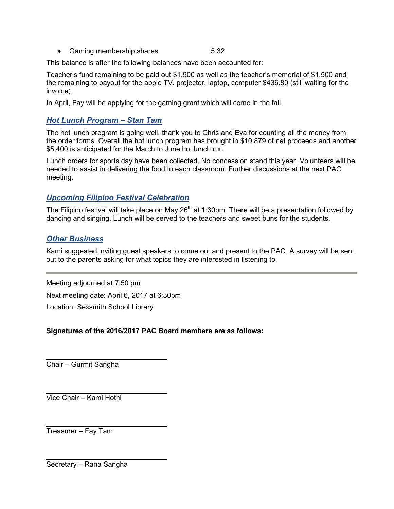• Gaming membership shares 6.32

This balance is after the following balances have been accounted for:

Teacher's fund remaining to be paid out \$1,900 as well as the teacher's memorial of \$1,500 and the remaining to payout for the apple TV, projector, laptop, computer \$436.80 (still waiting for the invoice).

In April, Fay will be applying for the gaming grant which will come in the fall.

## *Hot Lunch Program – Stan Tam*

The hot lunch program is going well, thank you to Chris and Eva for counting all the money from the order forms. Overall the hot lunch program has brought in \$10,879 of net proceeds and another \$5,400 is anticipated for the March to June hot lunch run.

Lunch orders for sports day have been collected. No concession stand this year. Volunteers will be needed to assist in delivering the food to each classroom. Further discussions at the next PAC meeting.

# *Upcoming Filipino Festival Celebration*

The Filipino festival will take place on May 26<sup>th</sup> at 1:30pm. There will be a presentation followed by dancing and singing. Lunch will be served to the teachers and sweet buns for the students.

## *Other Business*

Kami suggested inviting guest speakers to come out and present to the PAC. A survey will be sent out to the parents asking for what topics they are interested in listening to.

Meeting adjourned at 7:50 pm Next meeting date: April 6, 2017 at 6:30pm Location: Sexsmith School Library

## **Signatures of the 2016/2017 PAC Board members are as follows:**

Chair – Gurmit Sangha

Vice Chair – Kami Hothi

Treasurer – Fay Tam

Secretary – Rana Sangha